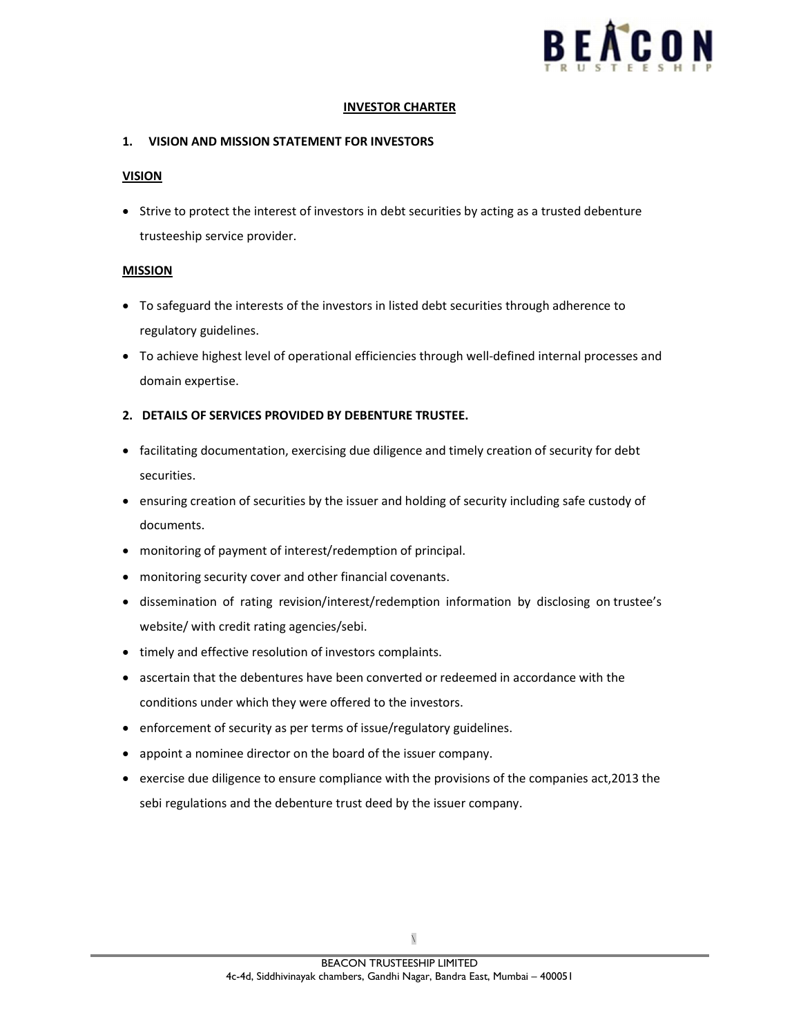

#### INVESTOR CHARTER

## 1. VISION AND MISSION STATEMENT FOR INVESTORS

## VISION

 Strive to protect the interest of investors in debt securities by acting as a trusted debenture trusteeship service provider.

# MISSION

- To safeguard the interests of the investors in listed debt securities through adherence to regulatory guidelines.
- To achieve highest level of operational efficiencies through well-defined internal processes and domain expertise.

# 2. DETAILS OF SERVICES PROVIDED BY DEBENTURE TRUSTEE.

- facilitating documentation, exercising due diligence and timely creation of security for debt securities.
- ensuring creation of securities by the issuer and holding of security including safe custody of documents.
- monitoring of payment of interest/redemption of principal.
- monitoring security cover and other financial covenants.
- dissemination of rating revision/interest/redemption information by disclosing on trustee's website/ with credit rating agencies/sebi.
- timely and effective resolution of investors complaints.
- ascertain that the debentures have been converted or redeemed in accordance with the conditions under which they were offered to the investors.
- enforcement of security as per terms of issue/regulatory guidelines.
- appoint a nominee director on the board of the issuer company.
- exercise due diligence to ensure compliance with the provisions of the companies act,2013 the sebi regulations and the debenture trust deed by the issuer company.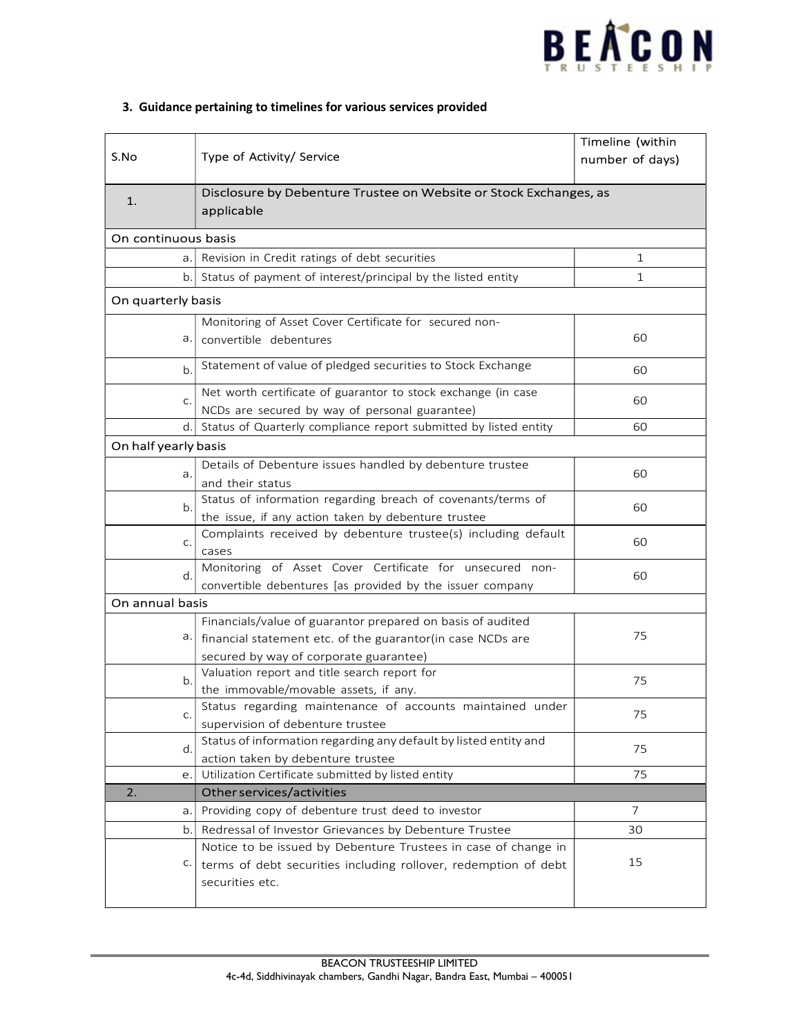

| S.No                 |                                                                                        | Timeline (within |
|----------------------|----------------------------------------------------------------------------------------|------------------|
|                      | Type of Activity/ Service                                                              | number of days)  |
| 1.                   | Disclosure by Debenture Trustee on Website or Stock Exchanges, as<br>applicable        |                  |
| On continuous basis  |                                                                                        |                  |
|                      | a. Revision in Credit ratings of debt securities                                       | $\mathbf{1}$     |
|                      | b. Status of payment of interest/principal by the listed entity                        | $\mathbf{1}$     |
| On quarterly basis   |                                                                                        |                  |
|                      | Monitoring of Asset Cover Certificate for secured non-                                 |                  |
| a.                   | convertible debentures                                                                 | 60               |
| b.                   | Statement of value of pledged securities to Stock Exchange                             | 60               |
| C.                   | Net worth certificate of guarantor to stock exchange (in case                          | 60               |
|                      | NCDs are secured by way of personal guarantee)                                         |                  |
|                      | d. Status of Quarterly compliance report submitted by listed entity                    | 60               |
| On half yearly basis |                                                                                        |                  |
| a.                   | Details of Debenture issues handled by debenture trustee                               | 60               |
|                      | and their status                                                                       |                  |
| b.                   | Status of information regarding breach of covenants/terms of                           | 60               |
|                      | the issue, if any action taken by debenture trustee                                    |                  |
| C.                   | Complaints received by debenture trustee(s) including default                          | 60               |
| d.                   | cases<br>Monitoring of Asset Cover Certificate for unsecured non-                      |                  |
|                      | convertible debentures [as provided by the issuer company                              | 60               |
| On annual basis      |                                                                                        |                  |
|                      |                                                                                        |                  |
| а. І                 | Financials/value of guarantor prepared on basis of audited                             | 75               |
|                      | financial statement etc. of the guarantor(in case NCDs are                             |                  |
| b.                   | secured by way of corporate guarantee)<br>Valuation report and title search report for |                  |
|                      | the immovable/movable assets, if any.                                                  | 75               |
| C.                   | Status regarding maintenance of accounts maintained under                              |                  |
|                      | supervision of debenture trustee                                                       | 75               |
| d.                   | Status of information regarding any default by listed entity and                       |                  |
|                      | action taken by debenture trustee                                                      | 75               |
| e.                   | Utilization Certificate submitted by listed entity                                     | 75               |
| 2.                   | Other services/activities                                                              |                  |
| a.                   | Providing copy of debenture trust deed to investor                                     | 7                |
| b.                   | Redressal of Investor Grievances by Debenture Trustee                                  | 30               |
|                      | Notice to be issued by Debenture Trustees in case of change in                         |                  |
| C.                   | terms of debt securities including rollover, redemption of debt                        | 15               |
|                      | securities etc.                                                                        |                  |
|                      |                                                                                        |                  |

# 3. Guidance pertaining to timelines for various services provided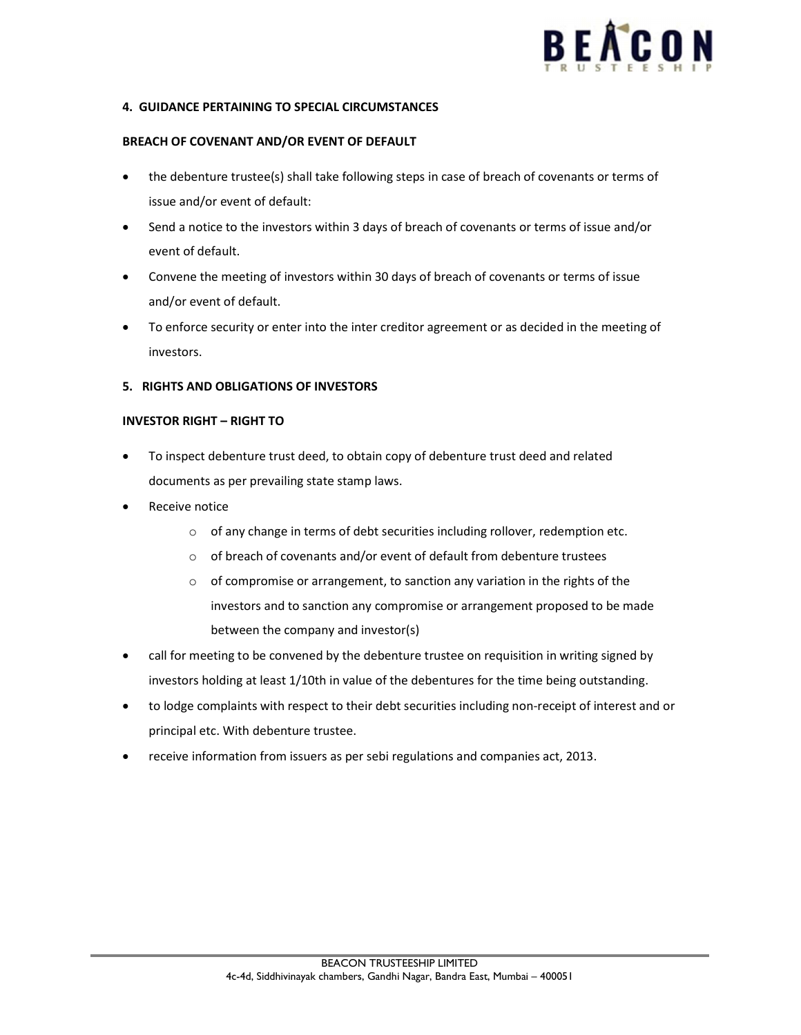

## 4. GUIDANCE PERTAINING TO SPECIAL CIRCUMSTANCES

## BREACH OF COVENANT AND/OR EVENT OF DEFAULT

- the debenture trustee(s) shall take following steps in case of breach of covenants or terms of issue and/or event of default:
- Send a notice to the investors within 3 days of breach of covenants or terms of issue and/or event of default.
- Convene the meeting of investors within 30 days of breach of covenants or terms of issue and/or event of default.
- To enforce security or enter into the inter creditor agreement or as decided in the meeting of investors.

#### 5. RIGHTS AND OBLIGATIONS OF INVESTORS

## INVESTOR RIGHT – RIGHT TO

- To inspect debenture trust deed, to obtain copy of debenture trust deed and related documents as per prevailing state stamp laws.
- Receive notice
	- o of any change in terms of debt securities including rollover, redemption etc.
	- o of breach of covenants and/or event of default from debenture trustees
	- o of compromise or arrangement, to sanction any variation in the rights of the investors and to sanction any compromise or arrangement proposed to be made between the company and investor(s)
- call for meeting to be convened by the debenture trustee on requisition in writing signed by investors holding at least 1/10th in value of the debentures for the time being outstanding.
- to lodge complaints with respect to their debt securities including non-receipt of interest and or principal etc. With debenture trustee.
- receive information from issuers as per sebi regulations and companies act, 2013.